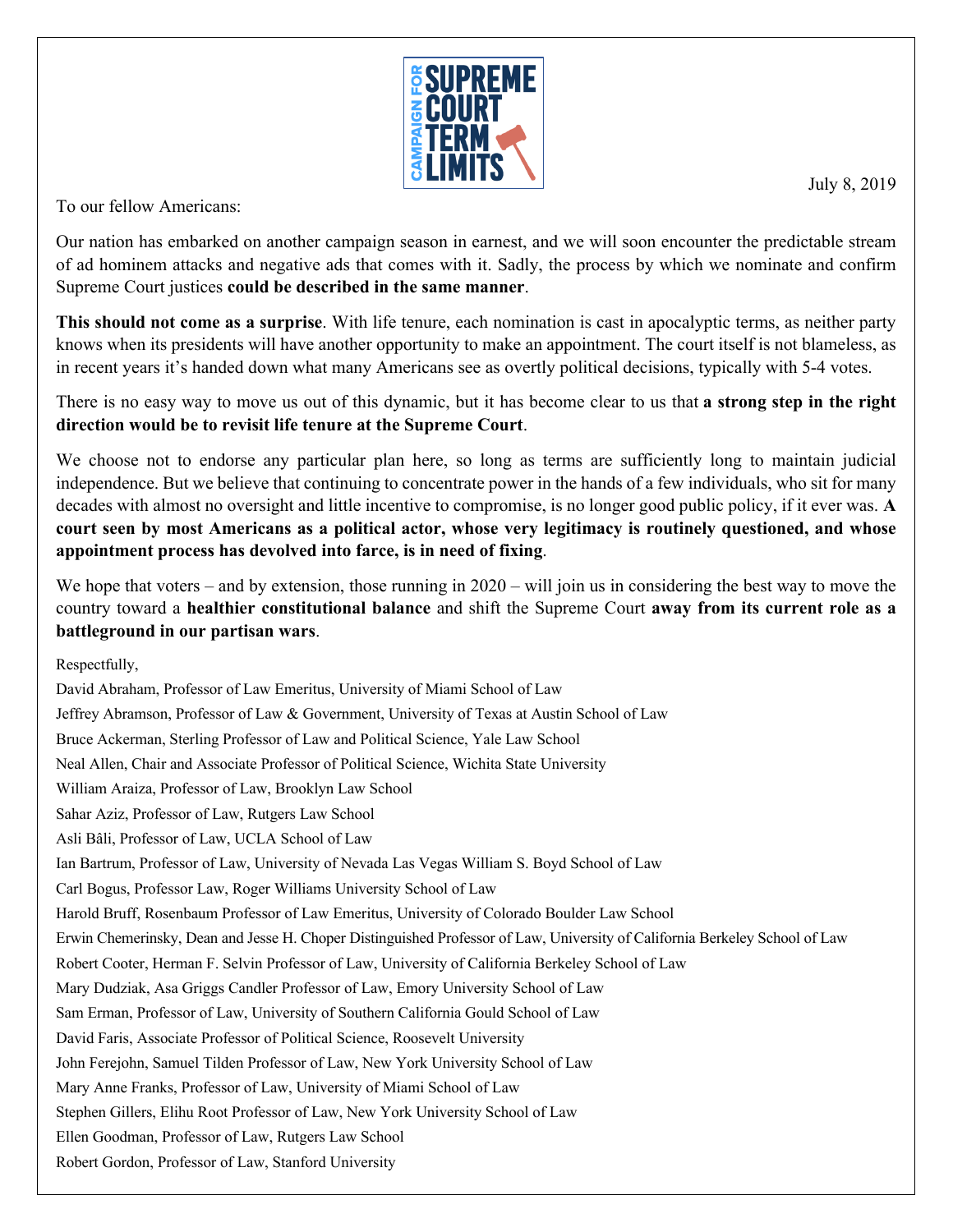

July 8, 2019

To our fellow Americans:

Our nation has embarked on another campaign season in earnest, and we will soon encounter the predictable stream of ad hominem attacks and negative ads that comes with it. Sadly, the process by which we nominate and confirm Supreme Court justices **could be described in the same manner**.

**This should not come as a surprise**. With life tenure, each nomination is cast in apocalyptic terms, as neither party knows when its presidents will have another opportunity to make an appointment. The court itself is not blameless, as in recent years it's handed down what many Americans see as overtly political decisions, typically with 5-4 votes.

There is no easy way to move us out of this dynamic, but it has become clear to us that **a strong step in the right direction would be to revisit life tenure at the Supreme Court**.

We choose not to endorse any particular plan here, so long as terms are sufficiently long to maintain judicial independence. But we believe that continuing to concentrate power in the hands of a few individuals, who sit for many decades with almost no oversight and little incentive to compromise, is no longer good public policy, if it ever was. **A court seen by most Americans as a political actor, whose very legitimacy is routinely questioned, and whose appointment process has devolved into farce, is in need of fixing**.

We hope that voters – and by extension, those running in 2020 – will join us in considering the best way to move the country toward a **healthier constitutional balance** and shift the Supreme Court **away from its current role as a battleground in our partisan wars**.

Respectfully,

David Abraham, Professor of Law Emeritus, University of Miami School of Law Jeffrey Abramson, Professor of Law & Government, University of Texas at Austin School of Law Bruce Ackerman, Sterling Professor of Law and Political Science, Yale Law School Neal Allen, Chair and Associate Professor of Political Science, Wichita State University William Araiza, Professor of Law, Brooklyn Law School Sahar Aziz, Professor of Law, Rutgers Law School Asli Bâli, Professor of Law, UCLA School of Law Ian Bartrum, Professor of Law, University of Nevada Las Vegas William S. Boyd School of Law Carl Bogus, Professor Law, Roger Williams University School of Law Harold Bruff, Rosenbaum Professor of Law Emeritus, University of Colorado Boulder Law School Erwin Chemerinsky, Dean and Jesse H. Choper Distinguished Professor of Law, University of California Berkeley School of Law Robert Cooter, Herman F. Selvin Professor of Law, University of California Berkeley School of Law Mary Dudziak, Asa Griggs Candler Professor of Law, Emory University School of Law Sam Erman, Professor of Law, University of Southern California Gould School of Law David Faris, Associate Professor of Political Science, Roosevelt University John Ferejohn, Samuel Tilden Professor of Law, New York University School of Law Mary Anne Franks, Professor of Law, University of Miami School of Law Stephen Gillers, Elihu Root Professor of Law, New York University School of Law Ellen Goodman, Professor of Law, Rutgers Law School Robert Gordon, Professor of Law, Stanford University